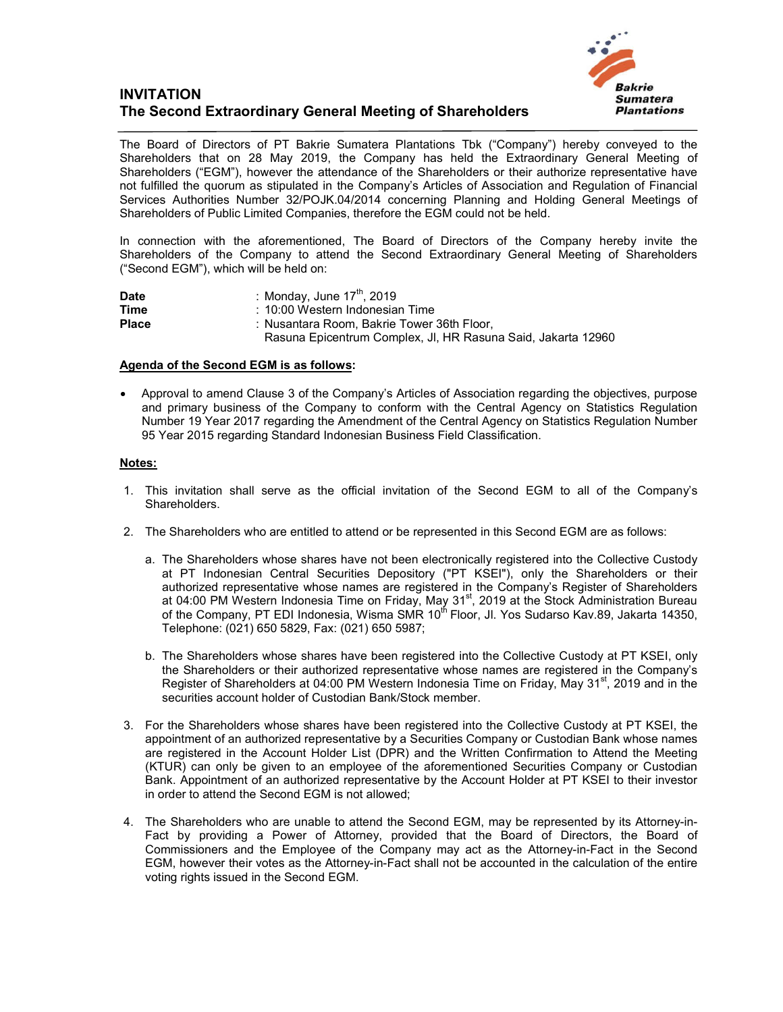## **INVITATION The Second Extraordinary General Meeting of Shareholders**



The Board of Directors of PT Bakrie Sumatera Plantations Tbk ("Company") hereby conveyed to the Shareholders that on 28 May 2019, the Company has held the Extraordinary General Meeting of Shareholders ("EGM"), however the attendance of the Shareholders or their authorize representative have not fulfilled the quorum as stipulated in the Company's Articles of Association and Regulation of Financial Services Authorities Number 32/POJK.04/2014 concerning Planning and Holding General Meetings of Shareholders of Public Limited Companies, therefore the EGM could not be held.

In connection with the aforementioned, The Board of Directors of the Company hereby invite the Shareholders of the Company to attend the Second Extraordinary General Meeting of Shareholders ("Second EGM"), which will be held on:

| Date         | : Monday, June $17^{\text{th}}$ , 2019                       |
|--------------|--------------------------------------------------------------|
| Time         | : 10:00 Western Indonesian Time                              |
| <b>Place</b> | : Nusantara Room. Bakrie Tower 36th Floor.                   |
|              | Rasuna Epicentrum Complex, Jl, HR Rasuna Said, Jakarta 12960 |

## **Agenda of the Second EGM is as follows:**

 Approval to amend Clause 3 of the Company's Articles of Association regarding the objectives, purpose and primary business of the Company to conform with the Central Agency on Statistics Regulation Number 19 Year 2017 regarding the Amendment of the Central Agency on Statistics Regulation Number 95 Year 2015 regarding Standard Indonesian Business Field Classification.

## **Notes:**

- 1. This invitation shall serve as the official invitation of the Second EGM to all of the Company's Shareholders.
- 2. The Shareholders who are entitled to attend or be represented in this Second EGM are as follows:
	- a. The Shareholders whose shares have not been electronically registered into the Collective Custody at PT Indonesian Central Securities Depository ("PT KSEI"), only the Shareholders or their authorized representative whose names are registered in the Company's Register of Shareholders at 04:00 PM Western Indonesia Time on Friday, May 31<sup>st</sup>, 2019 at the Stock Administration Bureau of the Company, PT EDI Indonesia, Wisma SMR 10<sup>th</sup> Floor, Jl. Yos Sudarso Kav.89, Jakarta 14350, Telephone: (021) 650 5829, Fax: (021) 650 5987;
	- b. The Shareholders whose shares have been registered into the Collective Custody at PT KSEI, only the Shareholders or their authorized representative whose names are registered in the Company's Register of Shareholders at 04:00 PM Western Indonesia Time on Friday, May 31<sup>st</sup>, 2019 and in the securities account holder of Custodian Bank/Stock member.
- 3. For the Shareholders whose shares have been registered into the Collective Custody at PT KSEI, the appointment of an authorized representative by a Securities Company or Custodian Bank whose names are registered in the Account Holder List (DPR) and the Written Confirmation to Attend the Meeting (KTUR) can only be given to an employee of the aforementioned Securities Company or Custodian Bank. Appointment of an authorized representative by the Account Holder at PT KSEI to their investor in order to attend the Second EGM is not allowed;
- 4. The Shareholders who are unable to attend the Second EGM, may be represented by its Attorney-in-Fact by providing a Power of Attorney, provided that the Board of Directors, the Board of Commissioners and the Employee of the Company may act as the Attorney-in-Fact in the Second EGM, however their votes as the Attorney-in-Fact shall not be accounted in the calculation of the entire voting rights issued in the Second EGM.